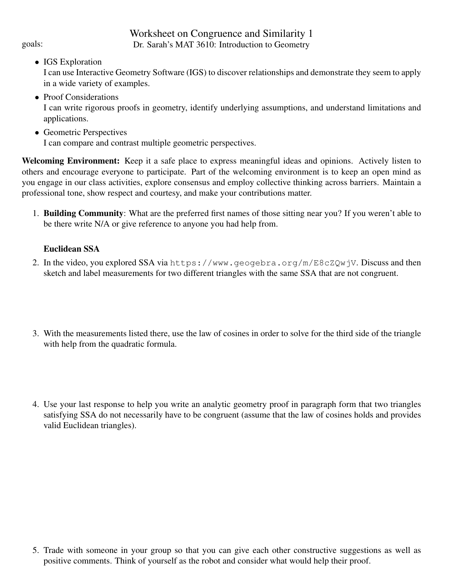# Worksheet on Congruence and Similarity 1 goals: Dr. Sarah's MAT 3610: Introduction to Geometry

• IGS Exploration

I can use Interactive Geometry Software (IGS) to discover relationships and demonstrate they seem to apply in a wide variety of examples.

• Proof Considerations

I can write rigorous proofs in geometry, identify underlying assumptions, and understand limitations and applications.

• Geometric Perspectives

I can compare and contrast multiple geometric perspectives.

Welcoming Environment: Keep it a safe place to express meaningful ideas and opinions. Actively listen to others and encourage everyone to participate. Part of the welcoming environment is to keep an open mind as you engage in our class activities, explore consensus and employ collective thinking across barriers. Maintain a professional tone, show respect and courtesy, and make your contributions matter.

1. Building Community: What are the preferred first names of those sitting near you? If you weren't able to be there write N/A or give reference to anyone you had help from.

## Euclidean SSA

- 2. In the video, you explored SSA via https://www.geogebra.org/m/E8cZQwjV. Discuss and then sketch and label measurements for two different triangles with the same SSA that are not congruent.
- 3. With the measurements listed there, use the law of cosines in order to solve for the third side of the triangle with help from the quadratic formula.
- 4. Use your last response to help you write an analytic geometry proof in paragraph form that two triangles satisfying SSA do not necessarily have to be congruent (assume that the law of cosines holds and provides valid Euclidean triangles).

5. Trade with someone in your group so that you can give each other constructive suggestions as well as positive comments. Think of yourself as the robot and consider what would help their proof.